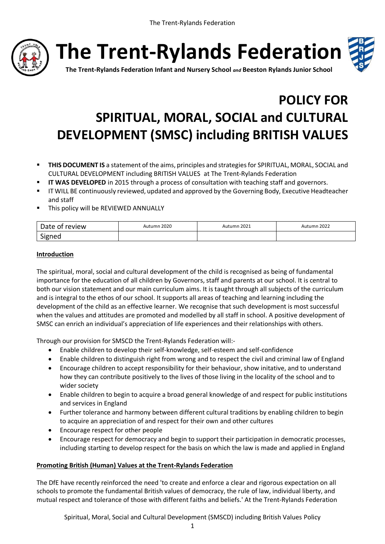

**The Trent-Rylands Federation**



**The Trent-Rylands Federation Infant and Nursery School** *and* **Beeston Rylands Junior School**

# **POLICY FOR SPIRITUAL, MORAL, SOCIAL and CULTURAL DEVELOPMENT (SMSC) including BRITISH VALUES**

- **THIS DOCUMENT IS** a statement of the aims, principles and strategies for SPIRITUAL, MORAL, SOCIAL and CULTURAL DEVELOPMENT including BRITISH VALUES at The Trent-Rylands Federation
- **IT WAS DEVELOPED** in 2015 through a process of consultation with teaching staff and governors.
- IT WILL BE continuously reviewed, updated and approved by the Governing Body, Executive Headteacher and staff
- **This policy will be REVIEWED ANNUALLY**

| Date of<br>review: | Autumn 2020 | Autumn 2021 | Autumn 2022 |
|--------------------|-------------|-------------|-------------|
| Signed             |             |             |             |

#### **Introduction**

The spiritual, moral, social and cultural development of the child is recognised as being of fundamental importance for the education of all children by Governors, staff and parents at our school. It is central to both our vision statement and our main curriculum aims. It is taught through all subjects of the curriculum and is integral to the ethos of our school. It supports all areas of teaching and learning including the development of the child as an effective learner. We recognise that such development is most successful when the values and attitudes are promoted and modelled by all staff in school. A positive development of SMSC can enrich an individual's appreciation of life experiences and their relationships with others.

Through our provision for SMSCD the Trent-Rylands Federation will:-

- Enable children to develop their self-knowledge, self-esteem and self-confidence
- Enable children to distinguish right from wrong and to respect the civil and criminal law of England
- Encourage children to accept responsibility for their behaviour, show initative, and to understand how they can contribute positively to the lives of those living in the locality of the school and to wider society
- Enable children to begin to acquire a broad general knowledge of and respect for public institutions and services in England
- Further tolerance and harmony between different cultural traditions by enabling children to begin to acquire an appreciation of and respect for their own and other cultures
- Encourage respect for other people
- Encourage respect for democracy and begin to support their participation in democratic processes, including starting to develop respect for the basis on which the law is made and applied in England

#### **Promoting British (Human) Values at the Trent-Rylands Federation**

The DfE have recently reinforced the need 'to create and enforce a clear and rigorous expectation on all schools to promote the fundamental British values of democracy, the rule of law, individual liberty, and mutual respect and tolerance of those with different faiths and beliefs.' At the Trent-Rylands Federation

Spiritual, Moral, Social and Cultural Development (SMSCD) including British Values Policy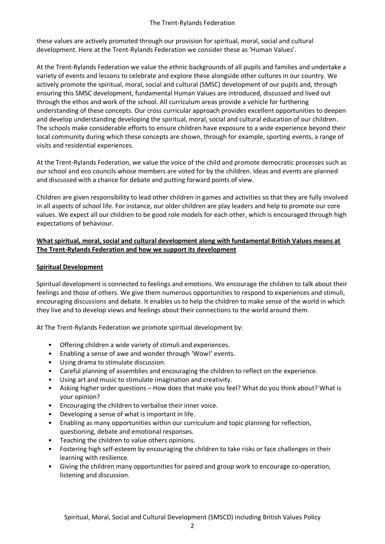these values are actively promoted through our provision for spiritual, moral, social and cultural development. Here at the Trent-Rylands Federation we consider these as 'Human Values'.

At the Trent-Rylands Federation we value the ethnic backgrounds of all pupils and families and undertake a variety of events and lessons to celebrate and explore these alongside other cultures in our country. We actively promote the spiritual, moral, social and cultural (SMSC) development of our pupils and, through ensuring this SMSC development, fundamental Human Values are introduced, discussed and lived out through the ethos and work of the school. All curriculum areas provide a vehicle for furthering understanding of these concepts. Our cross curricular approach provides excellent opportunities to deepen and develop understanding developing the spiritual, moral, social and cultural education of our children. The schools make considerable efforts to ensure children have exposure to a wide experience beyond their local community during which these concepts are shown, through for example, sporting events, a range of visits and residential experiences.

At the Trent-Rylands Federation, we value the voice of the child and promote democratic processes such as our school and eco councils whose members are voted for by the children. Ideas and events are planned and discussed with a chance for debate and putting forward points of view.

Children are given responsibility to lead other children in games and activities so that they are fully involved in all aspects of school life. For instance, our older children are play leaders and help to promote our core values. We expect all our children to be good role models for each other, which is encouraged through high expectations of behaviour.

# **What spiritual, moral, social and cultural development along with fundamental British Values means at The Trent-Rylands Federation and how we support its development**

## **Spiritual Development**

Spiritual development is connected to feelings and emotions. We encourage the children to talk about their feelings and those of others. We give them numerous opportunities to respond to experiences and stimuli, encouraging discussions and debate. It enables us to help the children to make sense of the world in which they live and to develop views and feelings about their connections to the world around them.

At The Trent-Rylands Federation we promote spiritual development by:

- Offering children a wide variety of stimuli and experiences.
- Enabling a sense of awe and wonder through 'Wow!' events.
- Using drama to stimulate discussion.
- Careful planning of assemblies and encouraging the children to reflect on the experience.
- Using art and music to stimulate imagination and creativity.
- Asking higher order questions How does that make you feel? What do you think about? What is your opinion?
- Encouraging the children to verbalise their inner voice.
- Developing a sense of what is important in life.
- Enabling as many opportunities within our curriculum and topic planning for reflection, questioning, debate and emotional responses.
- Teaching the children to value others opinions.
- Fostering high self-esteem by encouraging the children to take risks or face challenges in their learning with resilience.
- Giving the children many opportunities for paired and group work to encourage co-operation, listening and discussion.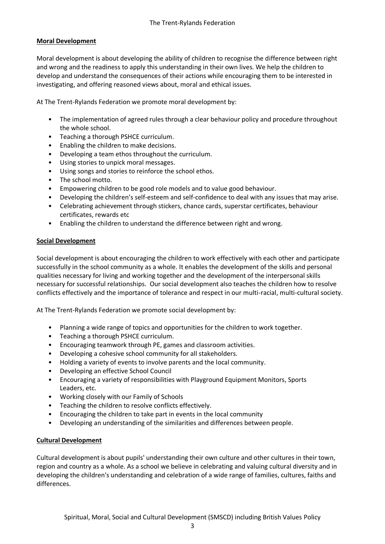# **Moral Development**

Moral development is about developing the ability of children to recognise the difference between right and wrong and the readiness to apply this understanding in their own lives. We help the children to develop and understand the consequences of their actions while encouraging them to be interested in investigating, and offering reasoned views about, moral and ethical issues.

At The Trent-Rylands Federation we promote moral development by:

- The implementation of agreed rules through a clear behaviour policy and procedure throughout the whole school.
- Teaching a thorough PSHCE curriculum.
- Enabling the children to make decisions.
- Developing a team ethos throughout the curriculum.
- Using stories to unpick moral messages.
- Using songs and stories to reinforce the school ethos.
- The school motto.
- Empowering children to be good role models and to value good behaviour.
- Developing the children's self-esteem and self-confidence to deal with any issues that may arise.
- Celebrating achievement through stickers, chance cards, superstar certificates, behaviour certificates, rewards etc
- Enabling the children to understand the difference between right and wrong.

## **Social Development**

Social development is about encouraging the children to work effectively with each other and participate successfully in the school community as a whole. It enables the development of the skills and personal qualities necessary for living and working together and the development of the interpersonal skills necessary for successful relationships. Our social development also teaches the children how to resolve conflicts effectively and the importance of tolerance and respect in our multi-racial, multi-cultural society.

At The Trent-Rylands Federation we promote social development by:

- Planning a wide range of topics and opportunities for the children to work together.
- Teaching a thorough PSHCE curriculum.
- Encouraging teamwork through PE, games and classroom activities.
- Developing a cohesive school community for all stakeholders.
- Holding a variety of events to involve parents and the local community.
- Developing an effective School Council
- Encouraging a variety of responsibilities with Playground Equipment Monitors, Sports Leaders, etc.
- Working closely with our Family of Schools
- Teaching the children to resolve conflicts effectively.
- Encouraging the children to take part in events in the local community
- Developing an understanding of the similarities and differences between people.

## **Cultural Development**

Cultural development is about pupils' understanding their own culture and other cultures in their town, region and country as a whole. As a school we believe in celebrating and valuing cultural diversity and in developing the children's understanding and celebration of a wide range of families, cultures, faiths and differences.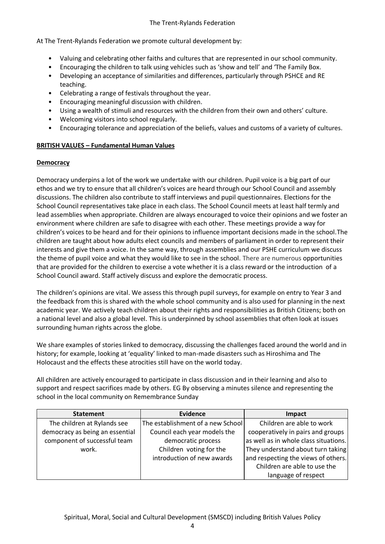#### The Trent-Rylands Federation

At The Trent-Rylands Federation we promote cultural development by:

- Valuing and celebrating other faiths and cultures that are represented in our school community.
- Encouraging the children to talk using vehicles such as 'show and tell' and 'The Family Box.
- Developing an acceptance of similarities and differences, particularly through PSHCE and RE teaching.
- Celebrating a range of festivals throughout the year.
- Encouraging meaningful discussion with children.
- Using a wealth of stimuli and resources with the children from their own and others' culture.
- Welcoming visitors into school regularly.
- Encouraging tolerance and appreciation of the beliefs, values and customs of a variety of cultures.

# **BRITISH VALUES – Fundamental Human Values**

# **Democracy**

Democracy underpins a lot of the work we undertake with our children. Pupil voice is a big part of our ethos and we try to ensure that all children's voices are heard through our School Council and assembly discussions. The children also contribute to staff interviews and pupil questionnaires. Elections for the School Council representatives take place in each class. The School Council meets at least half termly and lead assemblies when appropriate. Children are always encouraged to voice their opinions and we foster an environment where children are safe to disagree with each other. These meetings provide a way for children's voices to be heard and for their opinions to influence important decisions made in the school.The children are taught about how adults elect councils and members of parliament in order to represent their interests and give them a voice. In the same way, through assemblies and our PSHE curriculum we discuss the theme of pupil voice and what they would like to see in the school. There are numerous opportunities that are provided for the children to exercise a vote whether it is a class reward or the introduction of a School Council award. Staff actively discuss and explore the democratic process.

The children's opinions are vital. We assess this through pupil surveys, for example on entry to Year 3 and the feedback from this is shared with the whole school community and is also used for planning in the next academic year. We actively teach children about their rights and responsibilities as British Citizens; both on a national level and also a global level. This is underpinned by school assemblies that often look at issues surrounding human rights across the globe.

We share examples of stories linked to democracy, discussing the challenges faced around the world and in history; for example, looking at 'equality' linked to man-made disasters such as Hiroshima and The Holocaust and the effects these atrocities still have on the world today.

All children are actively encouraged to participate in class discussion and in their learning and also to support and respect sacrifices made by others. EG By observing a minutes silence and representing the school in the local community on Remembrance Sunday

| <b>Statement</b>                | Evidence                          | Impact                                |
|---------------------------------|-----------------------------------|---------------------------------------|
| The children at Rylands see     | The establishment of a new School | Children are able to work             |
| democracy as being an essential | Council each year models the      | cooperatively in pairs and groups     |
| component of successful team    | democratic process                | as well as in whole class situations. |
| work.                           | Children voting for the           | They understand about turn taking     |
|                                 | introduction of new awards        | and respecting the views of others.   |
|                                 |                                   | Children are able to use the          |
|                                 |                                   | language of respect                   |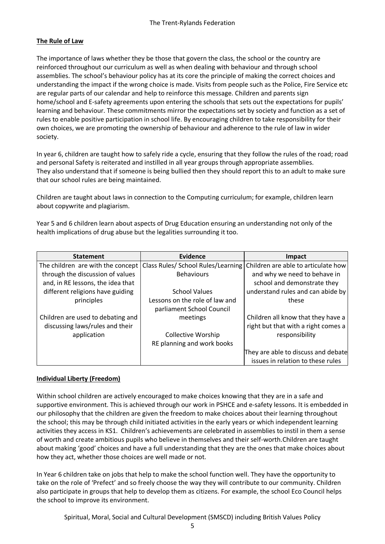# **The Rule of Law**

The importance of laws whether they be those that govern the class, the school or the country are reinforced throughout our curriculum as well as when dealing with behaviour and through school assemblies. The school's behaviour policy has at its core the principle of making the correct choices and understanding the impact if the wrong choice is made. Visits from people such as the Police, Fire Service etc are regular parts of our calendar and help to reinforce this message. Children and parents sign home/school and E-safety agreements upon entering the schools that sets out the expectations for pupils' learning and behaviour. These commitments mirror the expectations set by society and function as a set of rules to enable positive participation in school life. By encouraging children to take responsibility for their own choices, we are promoting the ownership of behaviour and adherence to the rule of law in wider society.

In year 6, children are taught how to safely ride a cycle, ensuring that they follow the rules of the road; road and personal Safety is reiterated and instilled in all year groups through appropriate assemblies. They also understand that if someone is being bullied then they should report this to an adult to make sure that our school rules are being maintained.

Children are taught about laws in connection to the Computing curriculum; for example, children learn about copywrite and plagiarism.

Year 5 and 6 children learn about aspects of Drug Education ensuring an understanding not only of the health implications of drug abuse but the legalities surrounding it too.

| <b>Statement</b>                  | <b>Evidence</b>                                                        | Impact                              |
|-----------------------------------|------------------------------------------------------------------------|-------------------------------------|
|                                   | The children are with the concept   Class Rules/ School Rules/Learning | Children are able to articulate how |
| through the discussion of values  | <b>Behaviours</b>                                                      | and why we need to behave in        |
| and, in RE lessons, the idea that |                                                                        | school and demonstrate they         |
| different religions have guiding  | <b>School Values</b>                                                   | understand rules and can abide by   |
| principles                        | Lessons on the role of law and                                         | these                               |
|                                   | parliament School Council                                              |                                     |
| Children are used to debating and | meetings                                                               | Children all know that they have a  |
| discussing laws/rules and their   |                                                                        | right but that with a right comes a |
| application                       | <b>Collective Worship</b>                                              | responsibility                      |
|                                   | RE planning and work books                                             |                                     |
|                                   |                                                                        | They are able to discuss and debate |
|                                   |                                                                        | issues in relation to these rules   |

## **Individual Liberty (Freedom)**

Within school children are actively encouraged to make choices knowing that they are in a safe and supportive environment. This is achieved through our work in PSHCE and e-safety lessons. It is embedded in our philosophy that the children are given the freedom to make choices about their learning throughout the school; this may be through child initiated activities in the early years or which independent learning activities they access in KS1. Children's achievements are celebrated in assemblies to instil in them a sense of worth and create ambitious pupils who believe in themselves and their self-worth.Children are taught about making 'good' choices and have a full understanding that they are the ones that make choices about how they act, whether those choices are well made or not.

In Year 6 children take on jobs that help to make the school function well. They have the opportunity to take on the role of 'Prefect' and so freely choose the way they will contribute to our community. Children also participate in groups that help to develop them as citizens. For example, the school Eco Council helps the school to improve its environment.

Spiritual, Moral, Social and Cultural Development (SMSCD) including British Values Policy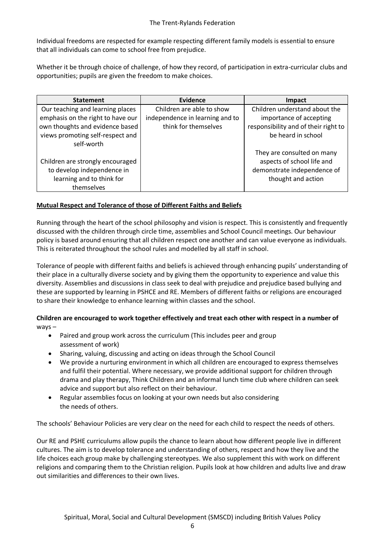Individual freedoms are respected for example respecting different family models is essential to ensure that all individuals can come to school free from prejudice.

Whether it be through choice of challenge, of how they record, of participation in extra-curricular clubs and opportunities; pupils are given the freedom to make choices.

| <b>Statement</b>                  | Evidence                        | Impact                               |
|-----------------------------------|---------------------------------|--------------------------------------|
| Our teaching and learning places  | Children are able to show       | Children understand about the        |
| emphasis on the right to have our | independence in learning and to | importance of accepting              |
| own thoughts and evidence based   | think for themselves            | responsibility and of their right to |
| views promoting self-respect and  |                                 | be heard in school                   |
| self-worth                        |                                 |                                      |
|                                   |                                 | They are consulted on many           |
| Children are strongly encouraged  |                                 | aspects of school life and           |
| to develop independence in        |                                 | demonstrate independence of          |
| learning and to think for         |                                 | thought and action                   |
| themselves                        |                                 |                                      |

## **Mutual Respect and Tolerance of those of Different Faiths and Beliefs**

Running through the heart of the school philosophy and vision is respect. This is consistently and frequently discussed with the children through circle time, assemblies and School Council meetings. Our behaviour policy is based around ensuring that all children respect one another and can value everyone as individuals. This is reiterated throughout the school rules and modelled by all staff in school.

Tolerance of people with different faiths and beliefs is achieved through enhancing pupils' understanding of their place in a culturally diverse society and by giving them the opportunity to experience and value this diversity. Assemblies and discussions in class seek to deal with prejudice and prejudice based bullying and these are supported by learning in PSHCE and RE. Members of different faiths or religions are encouraged to share their knowledge to enhance learning within classes and the school.

**Children are encouraged to work together effectively and treat each other with respect in a number of**  ways –

- Paired and group work across the curriculum (This includes peer and group assessment of work)
- Sharing, valuing, discussing and acting on ideas through the School Council
- We provide a nurturing environment in which all children are encouraged to express themselves and fulfil their potential. Where necessary, we provide additional support for children through drama and play therapy, Think Children and an informal lunch time club where children can seek advice and support but also reflect on their behaviour.
- Regular assemblies focus on looking at your own needs but also considering the needs of others.

The schools' Behaviour Policies are very clear on the need for each child to respect the needs of others.

Our RE and PSHE curriculums allow pupils the chance to learn about how different people live in different cultures. The aim is to develop tolerance and understanding of others, respect and how they live and the life choices each group make by challenging stereotypes. We also supplement this with work on different religions and comparing them to the Christian religion. Pupils look at how children and adults live and draw out similarities and differences to their own lives.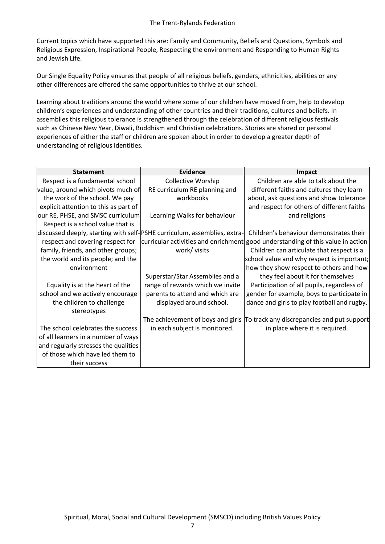Current topics which have supported this are: Family and Community, Beliefs and Questions, Symbols and Religious Expression, Inspirational People, Respecting the environment and Responding to Human Rights and Jewish Life.

Our Single Equality Policy ensures that people of all religious beliefs, genders, ethnicities, abilities or any other differences are offered the same opportunities to thrive at our school.

Learning about traditions around the world where some of our children have moved from, help to develop children's experiences and understanding of other countries and their traditions, cultures and beliefs. In assemblies this religious tolerance is strengthened through the celebration of different religious festivals such as Chinese New Year, Diwali, Buddhism and Christian celebrations. Stories are shared or personal experiences of either the staff or children are spoken about in order to develop a greater depth of understanding of religious identities.

| <b>Statement</b>                                                         | Evidence                         | Impact                                                                          |
|--------------------------------------------------------------------------|----------------------------------|---------------------------------------------------------------------------------|
| Respect is a fundamental school                                          | <b>Collective Worship</b>        | Children are able to talk about the                                             |
| value, around which pivots much of                                       | RE curriculum RE planning and    | different faiths and cultures they learn                                        |
| the work of the school. We pay                                           | workbooks                        | about, ask questions and show tolerance                                         |
| explicit attention to this as part of                                    |                                  | and respect for others of different faiths                                      |
| our RE, PHSE, and SMSC curriculum                                        | Learning Walks for behaviour     | and religions                                                                   |
| Respect is a school value that is                                        |                                  |                                                                                 |
| discussed deeply, starting with self-PSHE curriculum, assemblies, extra- |                                  | Children's behaviour demonstrates their                                         |
| respect and covering respect for                                         |                                  | curricular activities and enrichment good understanding of this value in action |
| family, friends, and other groups;                                       | work/ visits                     | Children can articulate that respect is a                                       |
| the world and its people; and the                                        |                                  | school value and why respect is important;                                      |
| environment                                                              |                                  | how they show respect to others and how                                         |
|                                                                          | Superstar/Star Assemblies and a  | they feel about it for themselves                                               |
| Equality is at the heart of the                                          | range of rewards which we invite | Participation of all pupils, regardless of                                      |
| school and we actively encourage                                         | parents to attend and which are  | gender for example, boys to participate in                                      |
| the children to challenge                                                | displayed around school.         | dance and girls to play football and rugby.                                     |
| stereotypes                                                              |                                  |                                                                                 |
|                                                                          |                                  | The achievement of boys and girls  To track any discrepancies and put support   |
| The school celebrates the success                                        | in each subject is monitored.    | in place where it is required.                                                  |
| of all learners in a number of ways                                      |                                  |                                                                                 |
| and regularly stresses the qualities                                     |                                  |                                                                                 |
| of those which have led them to                                          |                                  |                                                                                 |
| their success                                                            |                                  |                                                                                 |